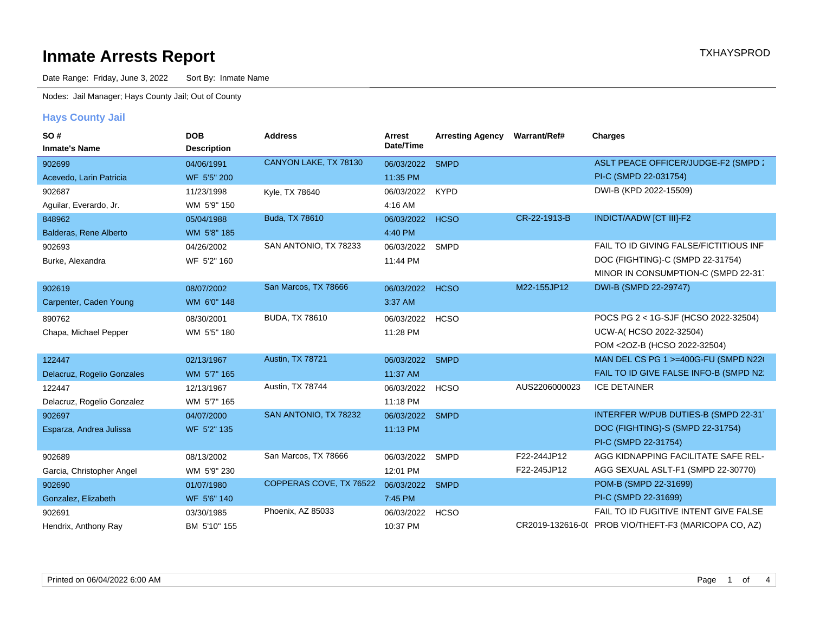Date Range: Friday, June 3, 2022 Sort By: Inmate Name

Nodes: Jail Manager; Hays County Jail; Out of County

#### **Hays County Jail**

| SO#                        | <b>DOB</b>         | <b>Address</b>          | Arrest          | <b>Arresting Agency</b> | Warrant/Ref#  | <b>Charges</b>                                       |
|----------------------------|--------------------|-------------------------|-----------------|-------------------------|---------------|------------------------------------------------------|
| <b>Inmate's Name</b>       | <b>Description</b> |                         | Date/Time       |                         |               |                                                      |
| 902699                     | 04/06/1991         | CANYON LAKE, TX 78130   | 06/03/2022      | <b>SMPD</b>             |               | ASLT PEACE OFFICER/JUDGE-F2 (SMPD:                   |
| Acevedo, Larin Patricia    | WF 5'5" 200        |                         | 11:35 PM        |                         |               | PI-C (SMPD 22-031754)                                |
| 902687                     | 11/23/1998         | Kyle, TX 78640          | 06/03/2022      | <b>KYPD</b>             |               | DWI-B (KPD 2022-15509)                               |
| Aguilar, Everardo, Jr.     | WM 5'9" 150        |                         | 4:16 AM         |                         |               |                                                      |
| 848962                     | 05/04/1988         | Buda, TX 78610          | 06/03/2022      | <b>HCSO</b>             | CR-22-1913-B  | <b>INDICT/AADW [CT III]-F2</b>                       |
| Balderas, Rene Alberto     | WM 5'8" 185        |                         | 4:40 PM         |                         |               |                                                      |
| 902693                     | 04/26/2002         | SAN ANTONIO, TX 78233   | 06/03/2022      | <b>SMPD</b>             |               | FAIL TO ID GIVING FALSE/FICTITIOUS INF               |
| Burke, Alexandra           | WF 5'2" 160        |                         | 11:44 PM        |                         |               | DOC (FIGHTING)-C (SMPD 22-31754)                     |
|                            |                    |                         |                 |                         |               | MINOR IN CONSUMPTION-C (SMPD 22-31)                  |
| 902619                     | 08/07/2002         | San Marcos, TX 78666    | 06/03/2022 HCSO |                         | M22-155JP12   | DWI-B (SMPD 22-29747)                                |
| Carpenter, Caden Young     | WM 6'0" 148        |                         | 3:37 AM         |                         |               |                                                      |
| 890762                     | 08/30/2001         | <b>BUDA, TX 78610</b>   | 06/03/2022      | <b>HCSO</b>             |               | POCS PG 2 < 1G-SJF (HCSO 2022-32504)                 |
| Chapa, Michael Pepper      | WM 5'5" 180        |                         | 11:28 PM        |                         |               | UCW-A(HCSO 2022-32504)                               |
|                            |                    |                         |                 |                         |               | POM <20Z-B (HCSO 2022-32504)                         |
| 122447                     | 02/13/1967         | Austin, TX 78721        | 06/03/2022      | <b>SMPD</b>             |               | MAN DEL CS PG 1 >=400G-FU (SMPD N220)                |
| Delacruz, Rogelio Gonzales | WM 5'7" 165        |                         | 11:37 AM        |                         |               | FAIL TO ID GIVE FALSE INFO-B (SMPD N2.               |
| 122447                     | 12/13/1967         | Austin, TX 78744        | 06/03/2022      | <b>HCSO</b>             | AUS2206000023 | <b>ICE DETAINER</b>                                  |
| Delacruz, Rogelio Gonzalez | WM 5'7" 165        |                         | 11:18 PM        |                         |               |                                                      |
| 902697                     | 04/07/2000         | SAN ANTONIO, TX 78232   | 06/03/2022 SMPD |                         |               | INTERFER W/PUB DUTIES-B (SMPD 22-31)                 |
| Esparza, Andrea Julissa    | WF 5'2" 135        |                         | 11:13 PM        |                         |               | DOC (FIGHTING)-S (SMPD 22-31754)                     |
|                            |                    |                         |                 |                         |               | PI-C (SMPD 22-31754)                                 |
| 902689                     | 08/13/2002         | San Marcos, TX 78666    | 06/03/2022      | <b>SMPD</b>             | F22-244JP12   | AGG KIDNAPPING FACILITATE SAFE REL-                  |
| Garcia, Christopher Angel  | WM 5'9" 230        |                         | 12:01 PM        |                         | F22-245JP12   | AGG SEXUAL ASLT-F1 (SMPD 22-30770)                   |
| 902690                     | 01/07/1980         | COPPERAS COVE, TX 76522 | 06/03/2022      | <b>SMPD</b>             |               | POM-B (SMPD 22-31699)                                |
| Gonzalez, Elizabeth        | WF 5'6" 140        |                         | 7:45 PM         |                         |               | PI-C (SMPD 22-31699)                                 |
| 902691                     | 03/30/1985         | Phoenix, AZ 85033       | 06/03/2022      | <b>HCSO</b>             |               | FAIL TO ID FUGITIVE INTENT GIVE FALSE                |
| Hendrix, Anthony Ray       | BM 5'10" 155       |                         | 10:37 PM        |                         |               | CR2019-132616-0( PROB VIO/THEFT-F3 (MARICOPA CO, AZ) |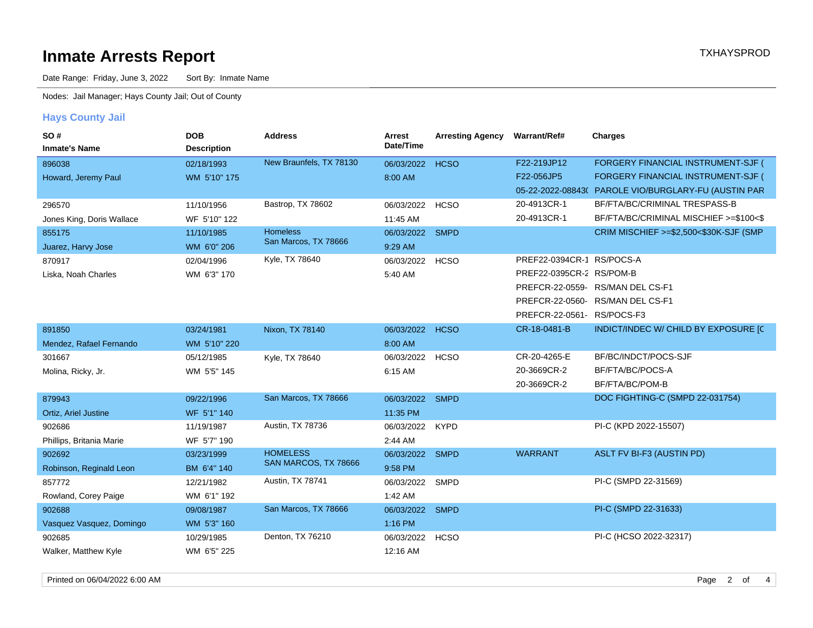Date Range: Friday, June 3, 2022 Sort By: Inmate Name

Nodes: Jail Manager; Hays County Jail; Out of County

#### **Hays County Jail**

| SO#                       | <b>DOB</b>         | <b>Address</b>          | Arrest<br>Date/Time | <b>Arresting Agency</b> | Warrant/Ref#               | <b>Charges</b>                                       |
|---------------------------|--------------------|-------------------------|---------------------|-------------------------|----------------------------|------------------------------------------------------|
| <b>Inmate's Name</b>      | <b>Description</b> |                         |                     |                         |                            |                                                      |
| 896038                    | 02/18/1993         | New Braunfels, TX 78130 | 06/03/2022          | <b>HCSO</b>             | F22-219JP12                | FORGERY FINANCIAL INSTRUMENT-SJF (                   |
| Howard, Jeremy Paul       | WM 5'10" 175       |                         | 8:00 AM             |                         | F22-056JP5                 | FORGERY FINANCIAL INSTRUMENT-SJF (                   |
|                           |                    |                         |                     |                         |                            | 05-22-2022-08843( PAROLE VIO/BURGLARY-FU (AUSTIN PAR |
| 296570                    | 11/10/1956         | Bastrop, TX 78602       | 06/03/2022          | <b>HCSO</b>             | 20-4913CR-1                | BF/FTA/BC/CRIMINAL TRESPASS-B                        |
| Jones King, Doris Wallace | WF 5'10" 122       |                         | 11:45 AM            |                         | 20-4913CR-1                | BF/FTA/BC/CRIMINAL MISCHIEF >=\$100<\$               |
| 855175                    | 11/10/1985         | <b>Homeless</b>         | 06/03/2022          | <b>SMPD</b>             |                            | CRIM MISCHIEF >=\$2,500<\$30K-SJF (SMP)              |
| Juarez, Harvy Jose        | WM 6'0" 206        | San Marcos, TX 78666    | 9:29 AM             |                         |                            |                                                      |
| 870917                    | 02/04/1996         | Kyle, TX 78640          | 06/03/2022          | <b>HCSO</b>             | PREF22-0394CR-1 RS/POCS-A  |                                                      |
| Liska, Noah Charles       | WM 6'3" 170        |                         | 5:40 AM             |                         | PREF22-0395CR-2 RS/POM-B   |                                                      |
|                           |                    |                         |                     |                         |                            | PREFCR-22-0559- RS/MAN DEL CS-F1                     |
|                           |                    |                         |                     |                         |                            | PREFCR-22-0560- RS/MAN DEL CS-F1                     |
|                           |                    |                         |                     |                         | PREFCR-22-0561- RS/POCS-F3 |                                                      |
| 891850                    | 03/24/1981         | Nixon, TX 78140         | 06/03/2022          | <b>HCSO</b>             | CR-18-0481-B               | INDICT/INDEC W/ CHILD BY EXPOSURE [C                 |
| Mendez, Rafael Fernando   | WM 5'10" 220       |                         | 8:00 AM             |                         |                            |                                                      |
| 301667                    | 05/12/1985         | Kyle, TX 78640          | 06/03/2022          | <b>HCSO</b>             | CR-20-4265-E               | BF/BC/INDCT/POCS-SJF                                 |
| Molina, Ricky, Jr.        | WM 5'5" 145        |                         | 6:15 AM             |                         | 20-3669CR-2                | BF/FTA/BC/POCS-A                                     |
|                           |                    |                         |                     |                         | 20-3669CR-2                | BF/FTA/BC/POM-B                                      |
| 879943                    | 09/22/1996         | San Marcos, TX 78666    | 06/03/2022          | <b>SMPD</b>             |                            | DOC FIGHTING-C (SMPD 22-031754)                      |
| Ortiz, Ariel Justine      | WF 5'1" 140        |                         | 11:35 PM            |                         |                            |                                                      |
| 902686                    | 11/19/1987         | Austin, TX 78736        | 06/03/2022 KYPD     |                         |                            | PI-C (KPD 2022-15507)                                |
| Phillips, Britania Marie  | WF 5'7" 190        |                         | 2:44 AM             |                         |                            |                                                      |
| 902692                    | 03/23/1999         | <b>HOMELESS</b>         | 06/03/2022          | <b>SMPD</b>             | <b>WARRANT</b>             | ASLT FV BI-F3 (AUSTIN PD)                            |
| Robinson, Reginald Leon   | BM 6'4" 140        | SAN MARCOS, TX 78666    | 9:58 PM             |                         |                            |                                                      |
| 857772                    | 12/21/1982         | Austin, TX 78741        | 06/03/2022          | SMPD                    |                            | PI-C (SMPD 22-31569)                                 |
| Rowland, Corey Paige      | WM 6'1" 192        |                         | 1:42 AM             |                         |                            |                                                      |
| 902688                    | 09/08/1987         | San Marcos, TX 78666    | 06/03/2022 SMPD     |                         |                            | PI-C (SMPD 22-31633)                                 |
| Vasquez Vasquez, Domingo  | WM 5'3" 160        |                         | 1:16 PM             |                         |                            |                                                      |
| 902685                    | 10/29/1985         | Denton, TX 76210        | 06/03/2022          | <b>HCSO</b>             |                            | PI-C (HCSO 2022-32317)                               |
| Walker, Matthew Kyle      | WM 6'5" 225        |                         | 12:16 AM            |                         |                            |                                                      |
|                           |                    |                         |                     |                         |                            |                                                      |

Printed on 06/04/2022 6:00 AM **Properties** 2 of 4 and 2012 12:00 AM **Properties** 2 of 4 and 2012 12:00 AM **Properties**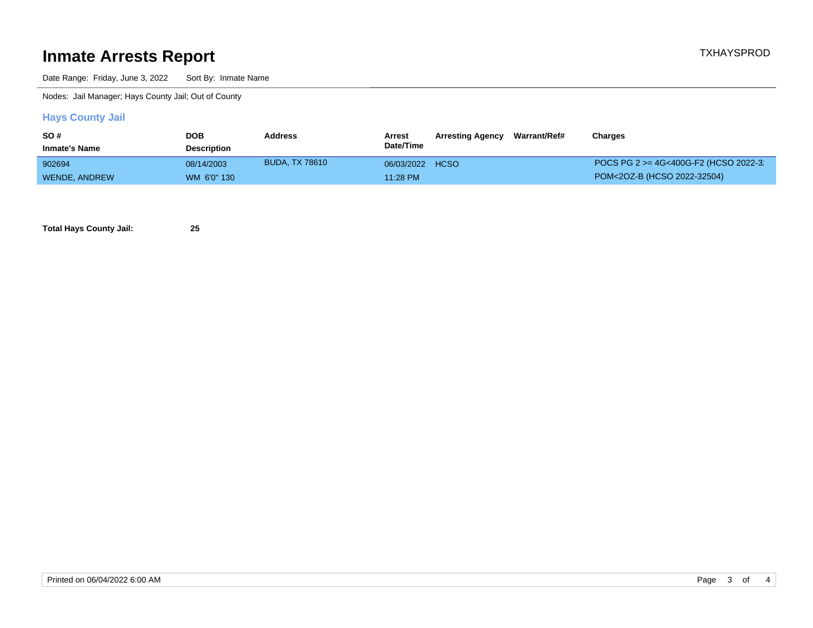Date Range: Friday, June 3, 2022 Sort By: Inmate Name

Nodes: Jail Manager; Hays County Jail; Out of County

#### **Hays County Jail**

| SO#                  | <b>DOB</b>         | <b>Address</b> | Arrest     | <b>Arresting Agency</b> | Warrant/Ref# | Charges                               |
|----------------------|--------------------|----------------|------------|-------------------------|--------------|---------------------------------------|
| <b>Inmate's Name</b> | <b>Description</b> |                | Date/Time  |                         |              |                                       |
| 902694               | 08/14/2003         | BUDA. TX 78610 | 06/03/2022 | <b>HCSO</b>             |              | POCS PG 2 >= 4G<400G-F2 (HCSO 2022-3) |
| WENDE, ANDREW        | WM 6'0" 130        |                | 11:28 PM   |                         |              | POM<20Z-B (HCSO 2022-32504)           |

**Total Hays County Jail: 25**